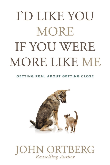# I'D LIKE YOU **MORE IF YOU WERE MORE LIKE ME**

#### **GETTING REAL ABOUT GETTING CLOSE**



**JOHN ORTBERG Bestselling Author**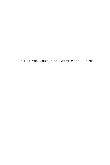I'D LIKE YOU MORE IF YOU WERE MORE LIKE ME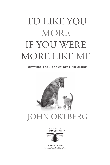## I'D LIKE YOU MORE IF YOU WERE MORE LIKE ME

#### **GETTING REAL ABOUT GETTING CLOSE**



### JOHN ORTBERG



The nonfiction imprint of Tyndale House Publishers, Inc.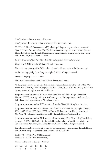Visit Tyndale online at www.tyndale.com.

Visit Tyndale Momentum online at www.tyndalemomentum.com.

*TYNDALE*, *Tyndale Momentum*, and Tyndale's quill logo are registered trademarks of Tyndale House Publishers, Inc. The Tyndale Momentum logo is a trademark of Tyndale House Publishers, Inc. Tyndale Momentum is the nonfiction imprint of Tyndale House Publishers, Inc., Carol Stream, Illinois.

*I'd Like You More If You Were More Like Me: Getting Real about Getting Close*

Copyright © 2017 by John Ortberg. All rights reserved.

Cover photograph copyright © Ermolaev Alexander/Shutterstock. All rights reserved.

Author photograph by Lynn Doty copyright © 2013. All rights reserved.

Designed by Jacqueline L. Nuñez

Published in association with Yates & Yates (www.yates2.com).

All Scripture quotations, unless otherwise indicated, are taken from the Holy Bible, *New International Version*, ® *NIV*. ® Copyright © 1973, 1978, 1984, 2011 by Biblica, Inc.® Used by permission. All rights reserved worldwide.

Scripture quotations marked ESV are taken from *The Holy Bible*, English Standard Version® (ESV®), copyright © 2001 by Crossway, a publishing ministry of Good News Publishers. Used by permission. All rights reserved.

Scripture quotations marked KJV are taken from the *Holy Bible*, King James Version.

Scripture quotations marked MSG are taken from *THE MESSAGE*, copyright © 1993, 1994, 1995, 1996, 2000, 2001, 2002 by Eugene H. Peterson. Used by permission of NavPress. All rights reserved. Represented by Tyndale House Publishers, Inc.

Scripture quotations marked NLT are taken from the *Holy Bible*, New Living Translation, copyright © 1996, 2004, 2015 by Tyndale House Foundation. Used by permission of Tyndale House Publishers, Inc., Carol Stream, Illinois 60188. All rights reserved.

For information about special discounts for bulk purchases, please contact Tyndale House Publishers at csresponse@tyndale.com, or call 1-800-323-9400.

ISBN 978-1-4964-2956-8 (ITPE edition) ISBN 978-1-4143-7902-9 (hardcover)

Printed in the United States of America

23 22 21 20 19 18 17 7 6 5 4 3 2 1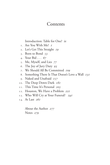#### Contents

 [Introduction: Table for One?](#page-7-0) *ix*

- $\frac{1}{1}$  Are You With Me?  $\frac{1}{1}$
- 2 . Let's Get This Straight *19*
- 3 . Born to Bond *53*
- 4 . Your Bid . *. . 67*
- 5 . Me, Myself, and Lies *77*
- 6 . The Joy of Jury Duty *93*
- 7 . We Should All Be Committed *109*
- 8 . Something There Is That Doesn't Love a Wall *131*
- 9 . Naked and Unafraid *157*
- 10. The Deep Down Dark *181*
- 11. This Time It's Personal *203*
- 12. Houston, We Have a Problem *221*
- 13. Who Will Cry at Your Funeral? *241*
- 14. At Last *261*

 About the Author *277* Notes *279*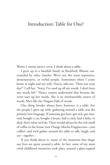#### <span id="page-7-0"></span>Introduction: Table for One?

WHEN I THINK ABOUT LOVE, I think about a table.

I grew up in a Swedish family in Rockford, Illinois, surrounded by other Swedes. We're not the most expressive, demonstrative, or verbal people. Sometimes when I come home at night and my wife, Nancy, asks me, "How was your day?" I tell her, "Sorry, I've used up all my words. I don't have any words left." Nancy cannot understand that because she *never* uses up her words. She is an inexhaustible source of words. She's like the Niagara Falls of words.

One thing Swedes always have, however, is a table. For the people I grew up with, gathering around a table was the primary love language. If someone got hurt, got sick, got married, bought a car, bought a house, had a crisis, had a baby, or died, that's what we'd do. There would always be the rich smell of coffee in the house (not Orange Mocha Frappuccino—just coffee), and we'd gather around the table to talk, laugh, and cry—*together*.

If you think about it, many of the moments that shape our lives are spent around a table. In fact, some of my most vivid childhood memories took place around a glass-topped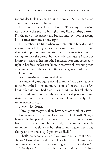rectangular table in a small dining room at 227 Brendenwood Terrace in Rockford, Illinois.

If I close my eyes, I can still see it. That's my dad sitting way down at the end. To his right is my little brother, Barton. I'm the guy in the glasses and braces, and my mom is sitting kitty-corner from me on my right.

I remember one time when we were eating breakfast and my mom was holding a piece of peanut butter toast. It was that critical peanut buttering time when the toast is still warm enough to melt the peanut butter a little, and just as Mom was lifting the toast to her mouth, I reached over and smashed it right in her face. Before you knew it, we were all creaming each other in the face with peanut butter and laughing until we cried.

Good times.

And sometimes not so good times.

A couple of years ago, a friend of mine (who also happens to be Swedish) lost his mom. As soon as I heard—just a few hours after his mom had died—I called him on his cell phone. Turned out his whole family was at a local pancake house sitting around a table drinking coffee. I immediately felt a resonance in my spirit.

*I know that family*.

Throughout the years, there have been other tables, as well.

I remember the first time I sat around a table with Nancy's family. She happened to mention that she had bought a tire from a car dealer, and immediately someone at the table responded, "I would *never* buy tires from a dealership. They charge an arm and a leg. I get 'em at Shell."

"Shell?" someone else said. "You would get a tire at a Shell station? I would never do that. They have terrible tires. You couldn't *give* me one of their tires. I get mine at Goodyear."

"Goodyear?" a third family member chimed in. "Their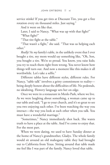service stinks! If you get tires at Discount Tire, you get a free rotation every six thousand miles. Just saying."

And it went on like that.

Later, I said to Nancy, "What was up with that fight?"

"What fight?"

"That tire fight at the table."

"That wasn't a fight," she said. "That was us helping each other."

*Really?* At *my* family's table, in the unlikely event that I ever bought a tire, my mom would say something like, "Oh, Son, you bought a tire. We're so proud. You know, you raise kids; you try to teach them right from wrong. You never know how things will turn out. And now a moment like this makes it all worthwhile. Let's take a selfie."

Different tables have different styles, different rules. For Nancy, "table talk" involves a gritty commitment to reality being deeply honest about the difficulties of life. No pedestals, no idealizing. Flowery language sets her on edge.

Once we were in a restaurant in Menlo Park, where we live. As we were laughing about something, a woman came up to our table and said, "I go to your church, and it's so great to see you two enjoying each other. I've been watching the way you interact—the way you look at each other when you talk. You must have a wonderful marriage."

"Sometimes," Nancy immediately shot back. She wants truth to have a place at the table. And I've come to enjoy that. For the most part.

When we were dating, we used to have Sunday dinner at the home of Nancy's grandmother, Gladys. The whole family would sit around an old mahogany table they had brought out to California from Texas. Sitting around that table made me feel like I was part of the family. Nancy loved that table.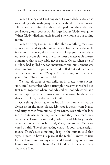When Nancy and I got engaged, I gave Gladys a dollar so we could get the mahogany table after she died. I even wrote a little deed, claiming the table, and taped it on the underside, so Nancy's greedy cousin wouldn't get it after Gladys was gone. When Gladys died, her table found a new home in our dining room.

When it's only two adults at the table, everything may look quite elegant and stylish; but when you have a baby, the table is a mess. Of course, the easiest way to keep your table tidy is not to let anyone sit there. But sometimes a messy table creates a memory that a tidy table never could. Once, when one of our kids had spilled one too many times and punishment was about to ensue, this particular child pulled out a dollar, set it on the table, and said, "Maybe Mr. Washington can change your mind." Turns out he could.

We had all three of our children in pretty short succession, and I remember what a triumph it was when we had our first meal together where nobody spilled, nobody cried, and nobody spit up. Our youngest was twenty-one by then, but that was still a great day in our family.

One thing about tables, at least in my family, is that we always sit in the same places. My spot is across from Nancy and kitty-corner from our daughter Laura. Even after the kids moved out, whenever they came home they reclaimed their old chairs: Laura on one side, Johnny and Mallory on the other; and now Laura's husband, Zack, next to her. We never voted on this. There's no seating chart. Nobody made assignments. There's just something deep in the human soul that says, "I need to have my place at the table." I know it's true for me: I want to have my chair, and I want everybody in my family to have their chairs. And I kind of like it when their chairs are filled.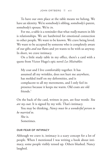To have our own place at the table means we belong. We have an identity. We're somebody's sibling, somebody's parent, somebody's spouse. We're *in*.

For me, a table is a reminder that what *really* matters in life is relationships. We are hardwired for emotional connection to other people. We want to be known. We crave being loved. We want to be accepted by someone who is completely aware of our gifts *and* our flaws and yet wants to be with us anyway. In short, we crave intimacy.

On a little study table in my office, there's a card with a quote from Victor Hugo's epic novel *Les Misérables*:

My coat and I live comfortably together. It has assumed all my wrinkles, does not hurt me anywhere, has molded itself on my deformities, and is complacent to all my movements, and I only feel its presence because it keeps me warm. Old coats are old friends.<sup>1</sup>

On the back of the card, written in pen, are four words: *You are my coat*. It is signed by my wife. That's intimacy.

You may be thinking, *Nancy must be a wonderful person to be married to*.

She is. Sometimes.

#### OUR FEAR OF INTIMACY

Although we crave it, intimacy is a scary concept for a lot of people. When I mentioned I was writing a book about intimacy, some people visibly tensed up. Others blushed. Nancy laughed.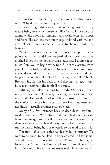I sometimes wonder why people have such strong reactions. Why do we fear intimacy so much?

For one thing, I think we're afraid of being hurt. Intimacy means being *known* by someone—like Nancy knows *me*, for example. She knows my strengths and weaknesses, my hopes and fears. She can use that knowledge to bond with me and grow closer to me, or she can use it to shame, wound, or betray me.

We also fear intimacy because it can set us up for disappointment. If you and I are not particularly close, I won't be crushed if you let me down because odds are, I didn't expect much from you to begin with. But if I desire closeness with you, if I come to depend on your friendship or need your love, it would wound me to the core to be rejected or abandoned by you. I would feel like a fool for trusting you—like Charlie Brown lying flat on his back after believing, yet again, that Lucy really *will* hold the football this time.

Intimacy can also make us feel needy. Or worse, it can *reveal* our neediness. Generally speaking, we don't like to feel needy. We like to think of ourselves as strong. (Ironically, the choice to pursue intimacy—to reveal our weakness and neediness—actually requires great strength.)

Many of us fear intimacy because deep down, we think we don't deserve it. We're afraid that our deficits and flaws are bound to emerge, and it will hurt even more to *lose* intimacy than never to have had it at all. Anytime we let someone in, we run the risk of being hurt or rejected. So we tend to avoid it.

The irony, of course, is that we deeply desire intimacy. We want to be loved, to be liked, to be celebrated, to have someone who accepts us no matter what. We want to have great friendships. We want to have people to turn to when a crisis hits. We want to have someone trustworthy in whom we can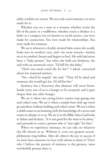safely confide our secrets. We not only *want* intimacy, we were made for it.

Whether you are a man or a woman; whether you're the life of the party or a wallflower; whether you're a thinker or a feeler or a category not yet known to social science, you were made for connection. You were made for relationships. You were made for intimacy.

We see it whenever a freshly minted baby enters the world, looks into its mother's eyes, and—by some miracle—latches on to its mother's breast and begins to feed. My wife had never been a "baby person," but when she held our firstborn, she said with an awestruck voice, "I'd kill for this baby."

"Don't you mean you'd die for her?" I asked, concerned about her maternal instinct.

"No—that'd be stupid," she said. "Then I'd be dead and someone else would get her. I'd *kill* for her."

Intimacy has a fierceness that distance will never know. Inside every one of us is a hunger to be accepted, and it goes deeper than any other hunger.

We see it when two young lovers cannot stop gazing into each other's eyes. We see it when a couple bent with age won't go anywhere without holding each other's arms. We see it when a child comes to us beaming with the knowledge of a secret and wants to whisper it to us. We see it in the Bible when God looks at Adam and declares, "It is not good for the man to be alone," and proceeds to create a partner who is "just right" for him.<sup>2</sup>

When we experience intimacy, we can take on whatever else life throws at us. Without it, even our greatest accomplishments ring hollow. After all, where's the joy in success if we don't have someone we love with whom to share it? That's why I believe the pursuit of intimacy is the greatest, most worthwhile pursuit there is.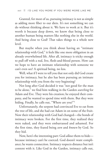Granted, for most of us, pursuing intimacy is not as simple as adding more fiber to our diets. It's not something we can do without thinking about it. We have to work at it. But it's worth it because deep down, we know that being close to another human being matters like nothing else in the world. And being close to God? That takes things to a whole new level.

But maybe when you think about having an "intimate relationship with God," it feels like one more obligation in an already overwhelmed life. After all, intimacy is tricky enough to pull off with a real, live, flesh-and-blood person. How can we hope to have an intimate relationship with someone we can't even see? A spiritual being, no less.

Well, what if I were to tell you that not only did God create you for intimacy, but he also has been pursuing an intimate relationship with you from the very beginning?

Not long after God decided it was "not good for the man to be alone," we find him walking in the Garden *searching* for Adam and Eve. They were his creation; he enjoyed their company, and he wanted to spend time with them. But they were hiding. Finally, he calls out, "Where are you?"3

Unfortunately, the serpent had convinced Eve to eat from the tree of life, and she had cut Adam in on some of the fruit. Now their relationship with God had changed—the bonds of intimacy were broken. For the first time, they realized they were naked, and they were embarrassed and ashamed. For the first time, they feared being *seen* and *known* by God. So they hid.

Now, here's the interesting part: God *allows* them to hide because intimacy can't be coerced. God doesn't want compliance; he wants connection. Intimacy respects distance but isn't content with it. Like God in the Garden, intimacy calls out,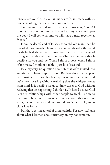"Where are you?" And God, in his desire for intimacy with us, has been asking that same question ever since.

God wants you and me at his table. Jesus says, "Look! I stand at the door and knock. If you hear my voice and open the door, I will come in, and we will share a meal together as friends."4

John, the dear friend of Jesus, was an old, old man when he recorded those words. He must have remembered a thousand meals he had shared with Jesus. And he used this image of sitting at the table with Jesus to describe an experience that is possible for you and me. When I think of love, when I think of intimacy, I think of a table—just like Jesus did.

It's a mystery, no question about it, that we're invited into an intimate relationship with God. But how does that happen? Is it possible that God has been speaking to us all along, and we've been hearing without realizing that the whisper comes from him? Is it possible for us to draw closer to God without realizing that it's happening? I think it is. In fact, I believe God uses our relationships with other people to teach us how to love *him*. The more we pursue intimacy in our other relationships, the more we see and understand God's incredible, audacious love for us.

But that's getting ahead of things a little. For now, let's talk about what I learned about intimacy on my honeymoon.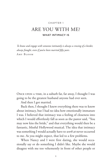#### CHAPTER 1

#### <span id="page-17-0"></span>ARE YOU WITH ME? WHAT INTIMACY IS

*To know and engage with someone intimately is always a crossing of a border, always fraught, even if you've been married fifty years.* Amy Bloom

Once upon a time, in a suburb far, far away, I thought I was going to be the greatest husband anyone had ever seen.

And then I got married.

Back then, I thought I knew everything there was to know about intimacy, but I had no idea how emotionally immature I was. I believed that intimacy was a feeling of closeness into which I would effortlessly fall as soon as the pastor said, "You may now kiss the bride," and that everything would then be a fantastic, blissful Hollywood musical. The idea that intimacy was something I would actually have to *work at* never occurred to me. As you might expect, that led to a few problems.

When Nancy and I were first dating, she would occasionally say or do something I didn't like. Maybe she would disagree with me too vehemently in front of other people or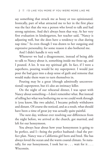say something that struck me as bossy or too opinionated. Ironically, part of what attracted me to her in the first place was the fact that she was a person who loved to talk and had strong opinions. And she's always been that way. At her very first evaluation in kindergarten, her teacher said, "Nancy is adjusting well, but she does have a tendency to chat during nap time." So even though I was drawn to her outgoing and expressive personality, for some reason it also bothered me.

And I didn't handle it very well.

Whenever we had a disagreement, instead of being able to talk to Nancy about it, something inside me froze up, and I pouted. A lot. It was my spiritual gift. In fact, if I were a superhero, pouting would be my superpower. I would just pout the bad guys into a deep sense of guilt and remorse that would make them want to turn themselves in.

Pouting may be a great (though admittedly unconventional) superpower, but it's also an intimacy killer.

On the night of our rehearsal dinner, I was upset with Nancy about something—I don't remember what. But instead of telling her what was bothering me so we could work through it (you know, like two adults), I became politely withdrawn and distant. Of course she noticed, and as a result, what should have been a time of great joy was actually quite painful.

The next day, without ever resolving our differences from the night before, we arrived at the church, got married, and left for our honeymoon.

You always hear about how your honeymoon is going to be perfect, and I—being the perfect husband—had the perfect plan. Nancy was a California girl born and bred. She has always loved the ocean and the warm coastal climate. So naturally, for our honeymoon, I took her to . . . wait for it . . . Wisconsin.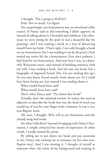#### I thought, *This is going to thrill her!* Yeah. Not so much. Go figure.

Not surprisingly, our honeymoon was an emotional roller coaster. If Nancy said or did something I didn't approve of, instead of talking about it, I brooded and withdrew. One afternoon we were sitting by the pool (it was a beautiful day for pouting), and I was reading a book as a way of distancing myself from my bride. (That's right, I not only brought a book on my honeymoon, but I was reading it out by the pool.) I had waited my entire life for a honeymoon. Ever since puberty, I had *lived* for my honeymoon. And now here I was, at a beautiful Wisconsin resort, and instead of building intimacy with my wife, I was reading a book. And not just any book, but a biography of Sigmund Freud. (No, I'm not making this up.) As you may know, Freud mostly wrote about sex. So I could have been *having* sex, but instead I was reading about it.

What would Freud have said?

What would Jesus have said?

Here's what Nancy said: "Put down that book!"

Actually, that's the sanitized version. In reality, she used an adjective to describe the book that was the kind of word you would use if you hit your finger with a hammer. It was a very non-Baptist word.

*Oh, man*, I thought. *We're still on our honeymoon and she's already using bad words.*

See what I did there? Instead of *engaging* with Nancy's frustration, I simply criticized her means of expression. In other words, I totally missed the point.

By telling me to put down my book and pay attention to her, Nancy was *inviting* me to intimacy (in her own non-Baptist way). And I was missing it. I thought of myself as someone who—by virtue of my background and training in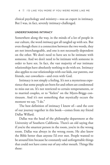clinical psychology and ministry—was an expert in intimacy. But I was, in fact, severely intimacy-challenged.

#### UNDERSTANDING INTIMACY

Somewhere along the way, in the minds of a lot of people in our culture, the word *intimacy* got all tangled up with sex. But even though there *is* a connection between the two words, they are not interchangeable, and one is not necessarily dependent on the other. We don't need to have sex to be intimate with someone. And we don't need to be intimate with someone in order to have sex. In fact, the vast majority of our intimate relationships have absolutely nothing to do with sex. Intimacy also applies to our relationships with our kids, our parents, our friends, our coworkers—and even with God.

Intimacy is not simply a feeling. It's not a mysterious experience that some people are born for and others are condemned to miss out on. It's not restricted to certain temperaments, or to married couples, or to "feelers" on the Myers-Briggs continuum. And it's not something that mystically occurs the moment we say, "I do."

The best definition of intimacy I know of—and the core of our journey together in this book—comes from my friend Dallas Willard.

Dallas was the head of the philosophy department at the University of Southern California. There's an old saying that if you're the smartest person in the room, you're in the wrong room. Dallas was always in the wrong room. He also knew the Bible better than anyone I'd ever met. People wanted to be around him because he constantly said unforgettable things that could not have come out of any other mouth. Things like these: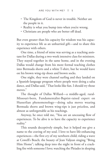- The Kingdom of God is never in trouble. Neither are the people in it.
- Reality is what you bump into when you're wrong.
- Christians are people who are better off dead.

But even greater than his capacity for wisdom was his capacity to experience life as an unhurried gift—and to share this experience with others.

One time, a friend of mine was serving as a teaching assistant for Dallas during a two-week intensive class for ministers. They stayed together in the same home, and in the evening Dallas would change from his more formal teaching clothes into Bermuda shorts and a white T-shirt, but he would leave on his brown wing-tip shoes and brown socks.

One night, they were channel surfing and they landed on a Spanish-language program where people were doing a salsa dance, and Dallas said, "That looks like fun. I should try those moves."

The thought of Dallas Willard—a middle-aged, rural-Missouri- born, Fundamentalist- Baptist- raised expert on Husserlian phenomenology—doing salsa moves wearing Bermuda shorts and brown wing-tips is just priceless, and almost as unforgettable as his teachings.

Anyway, he once told me, "You are an unceasing flow of experiences. To be alive is to have the capacity to experience reality."

This sounds deceptively simple, but it helped me give a name to the craving of my soul. I love to have life-enhancing experiences—the first cry of my newborn child; riding a wave at Cowell's Beach; the beauty of Jean Valjean singing "Bring Him Home"; talking deep into the night in front of a crackling fire with someone I love; watching the Pleiades in sleeping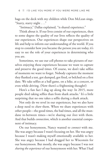bags on the deck with my children while Don McLean sings, "Starry, starry night . . ."

"Intimacy," Dallas explained, "is shared experience."

Think about it. If our lives consist of our experiences, then to some degree the quality of our lives reflects the quality of our experiences. Our experiences shape our perspectives on life and help to inform our understanding of the world. If you stop to consider how you became the person you are today, it's easy to see the role of your experiences in determining who you are.

Sometimes, we use our cell phones to take pictures of ourselves enjoying these experiences because we want to capture and preserve the good times. Of course, we don't take selfies of moments we want to forget. Nobody captures the moment they flunked a test, got dumped, got fired, or belched on a first date. We take selfies at a ball game, on a hike, at a concert, or even while driving. (Now there's a frightening thought!)

Here's a fun fact I dug up along the way: In 2015, more people died taking selfies than from shark attacks.<sup>1</sup> It's a little surprising that no one takes a selfie during a shark attack.

Not only do we revel in our experiences, but we also have a deep need to *share* them. When we share experiences with other people—the good times, the bad times, and all the mundane in- between times— we're sharing our *lives* with them. And that builds *connection*, which is another essential component of intimacy.

On our honeymoon, Nancy wanted to *connect* with me. She was angry because I wasn't focusing on her. She was angry because I wasn't making myself emotionally available to her. She was angry because I had dragged her to Wisconsin for our honeymoon. But mostly, she was angry because I was not *sharing the experience* of our honeymoon with her. What I had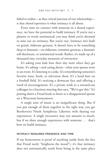failed to realize—at that critical juncture of our relationship is that *shared experience* is what intimacy is all about.

Every time we connect with someone in a shared experience, we have the potential to build intimacy. If you're not a planner or overly sentimental, you may think you're doomed to miss out on intimacy. But you're not. Intimacy isn't built on grand, elaborate gestures. It doesn't have to be something deep or dramatic—an elaborate, romantic getaway, a dramatic self-disclosure, or sentimental words. Rather, it's made up of a thousand tiny, everyday moments of *interaction*.

It's asking your kids how their day went when they get home. It's asking—and caring about—what your spouse wore to an event. It's listening to a joke. It's remembering someone's favorite wine, book, or television show. It's a head butt on a football field. It's noticing a downcast face and offering a word of encouragement. It's a private wink to a stressed-out colleague in a fractious meeting that says, "We've got this." It's putting down a Freud book to listen to a disappointed spouse on a Wisconsin honeymoon.

A single note of music is an insignificant thing. But if you put enough of them together in the right way, you get Beethoven's Ninth Symphony. Likewise with sharing our experiences. A single encounter may not amount to much, but if we share enough experiences with someone . . . that's how we build intimacy.

#### INTIMACY REQUIRES PRESENCE AND TIME

If my honeymoon is proof of anything (aside from the fact that Freud rarely "heightens the mood"), it's that intimacy does not automatically result from being in the same place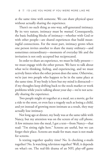at the same time with someone. We can share physical space without actually sharing the experience.

There's no such thing as one-way, self-generated intimacy. By its very nature, intimacy must be *mutual*. Consequently, the basic building blocks of intimacy—whether with God or with other people—are shared experiences that build meaningful connections. For the most part, intimacy grows when one person invites another to share the many ordinary—and sometimes extraordinary—moments of everyday life and the invitation is not only accepted but reciprocated.

In order to share an experience, we must be fully present we must engage with the other person. We have to talk about what we're thinking, feeling, and experiencing, and we must actively listen when the other person does the same. Otherwise, we're just two people who happen to be in the same place at the same time. If my body is here but my mind is distracted if my thoughts keep drifting back to the stock market or work problems while you're talking about your day—we're not actually sharing the experience.

Two people might sit together at a meal, see a movie, go for a ride to the store, or even face a tragedy such as losing a child, and yet instead of growing more intimate as a result, they may actually lose intimacy.

Not long ago at dinner, my body was at the same table with Nancy, but my attention was on the screen of my cell phone. A few minutes into the meal, I got a text—from Nancy—that read: "I'm sitting right here." Screens are useful, but we can forget their place. Screens are made for man; man is not made for screens.

Is texting together quality time? No. Is checking e-mails together? No. Is watching television together? Well, it depends on what's on. The real-life drama of an NFL play-off game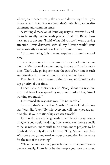where you're experiencing the ups and downs together—yes, of course it is. If it's *The Bachelor*, that's unbiblical, so use discernment and common sense.

A striking dimension of Jesus' capacity to love was his ability to be totally present with people. In all the Bible, Jesus never says to anyone, "Huh? What did you say? I wasn't paying attention. I was distracted with all my Messiah work." Jesus was constantly aware of how his friends were doing.

Of course, being fully present requires a commitment of time.

Time is precious to us because it is such a limited commodity. We can make more money, but we can't make more time. That's why giving someone the gift of our time is such an intimate act. It's something we can never get back.

Pursuing intimacy means making our top relationships the top priority of our time.

I once had a conversation with Nancy about our relationship and how I was spending my time. I asked her, "Am I working too much?"

Her immediate response was, "It's not terrible."

Granted, that's better than "terrible," but it's kind of a low bar. Jesus didn't say, "By this, everyone will know you are my disciples, if your relationships are *not terrible*."

Here is the key challenge with time: There's always something else you could be doing. There are always more e-mails to be answered, more stuff to be done, more projects to be finished. But rarely do your kids say, "Hey, Mom. Hey, Dad. Why don't you go and work on your presentation for the office for the rest of the evening."

When it comes to time, you're bound to disappoint someone eventually. Don't let it be the people you love the most.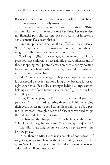Because at the end of the day, our relationships—our shared experiences—are what really matter.

I have yet to hear anybody say on his deathbed, "Bring out my résumé so I can read it one last time. Let me review my financial portfolio. Let me tick off that list of impressive achievements I've accomplished."

Time and presence. They are the stuff of shared experience. We can't experience true intimacy without them. And there is no greater gift that we can give to those we love.

Speaking of gifts . . . years ago, my wife and I took our preschool-age children to have a family picture taken at one of those shopping mall photo places. I wanted a happy portrait to send out at Christmastime, so everyone could see what an intimate family looks like.

I don't know who managed this photo shop, but whoever it was should be locked up for a long time, because it was an ugly experience. Basically, a stranger behind a large camera held up a series of odd-looking shapes that frightened the kids until they cried.

Now, I'm no expert, but I'm fairly certain that if you send people a Christmas card featuring three small children crying their eyes out, it's not a good thing. Especially if you're a pastor. So we went through a series of phases as we tried to get the kids to smile for their pictures.

The first was the "happy phase," in which I cheerfully said, "Hey, kids, this is going to be fun! You're going to enjoy this."

That didn't last long before we moved to phase two—the bribery phase.

"Kids, there's a Mrs. Fields just a couple of doors down. If we get a good picture here, with lots of smiling faces, you can go to Mrs. Fields and get a double fudge brownie chocolate chip cookie—if you just smile."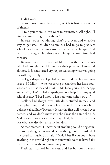Didn't work.

So we moved into phase three, which is basically a series of threats.

"I told you to smile! You want to cry instead? All right, I'll give you something to cry about."

In case you're wondering, that's a proven and effective way to get small children to smile. I had to go to graduate school for a lot of years to learn that particular technique. And yet—surprisingly—it didn't work. Things just went from bad to worse.

By now, the entire place had filled up with other parents who had brought their kids to have their pictures taken—and all those kids had started crying just watching what was going on with my family.

So I got desperate. I pulled out our middle child—threeyear-old Mallory—who was crying the hardest, her little body wracked with sobs, and I said, "Mallory, you're not happy, are you?" (That's called empathy—more help from my grad school years.) "I bet I know what you want right now . . ."

Mallory had always loved little dolls, stuffed animals, and other playthings, and her very favorite at the time was a little doll she called Baby Tweezers. It was the first doll she had ever named, and we don't know why she chose the name she did. Mallory was not a forceps-delivery child, but Baby Tweezers was what she decided to name her doll.

At that moment, I knew that if anything could bring comfort to my daughter, it would be the thought of that little doll she loved so much. So I said, "Mal, I bet if you could have anything in the world right now, you would want to have Baby Tweezers here with you, wouldn't you?"

Fresh tears formed in her eyes, and her bottom lip stuck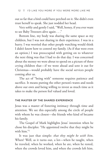out so far that a bird could have perched on it. She didn't even trust herself to speak. She just nodded her head.

Very softly and gently I said, "Well, honey, if you ever want to see Baby Tweezers alive again . . ."

Bottom line, my body was sharing the same space as my children, but I was not sharing in their experience. I was in a hurry. I was worried that other people watching would think I didn't know how to control my family. (As if that were even an option.) I was preoccupied with getting on to whatever the next thing was that I had to do that day. I was concerned about the money we were about to spend on a picture of three crying children that—if we went ahead and sent it out for Christmas—would probably have the social services people coming after us.

The act of "being with" someone requires patience and sacrifice. It means putting the other person's wants and needs above our own and being willing to invest as much time as it takes to make the person feel valued and loved.

#### THE MASTER OF THE SHARED EXPERIENCE

Jesus was a master of fostering intimacy through time and attention. We see this especially among the circle of people with whom he was closest—the friends who kind of became his family.

The Gospel of Mark highlights Jesus' intention when he chose his disciples: "He appointed twelve that they might be with him."2

It was just that simple: *that they might be with him*. When? Well, as it turns out, a lot—when he taught, when he traveled, when he worked, when he ate, when he rested, when the crowds loved him, and when the crowds left him.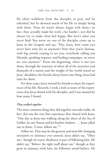He often withdrew from the disciples to pray and be refreshed, but he devoted much of his life to simply being with them. Now, he wasn't always *happy* with them— in fact, they actually made his work a lot harder—nor did he always try to make *them* feel happy. But here's what you never find: You never see one of the disciples come up to Jesus in the Gospels and say, "Hey, Jesus, how come you never have time for us anymore? Now that you're famous, with big crowds coming to see you, everybody calling you Messiah, speaking requests, and healing campaigns, we never see you anymore." From the beginning, when it was just them, through the intensity of when all of the attention and demands of a nation and the weight of the world rested on Jesus' shoulders, his friends always knew one thing: Jesus had time for them.

For three years, Jesus invited his friends to share the experiences of his life. Recently, I took a look at some of the experiences that Jesus shared with his disciples, and I was amazed by how many I found.

#### *They walked together*

The most common thing they did together was take walks. In fact, this was the very first experience they shared with Jesus: "One day as Jesus was walking along the shore of the Sea of Galilee, he saw Simon and his brother Andrew. . . . Jesus called out to them, 'Come, follow me.'"3

*Follow me.* That may be the greatest and most life-changing invitation to intimacy ever uttered. Jesus didn't say, "Obey me," though of course obedience is part of following him. He didn't say, "Believe the right stuff about me," though as they grew in intimacy with him, his followers *would* believe. He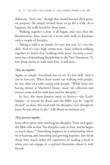didn't say, "Serve me," though that would become their greatest purpose. He simply invited them to go for a walk. As it happens, the walk lasted for three years.

Walking together is how it all began, and even after the Resurrection, Jesus went on a seven-mile walk to Emmaus with a couple of disciples.

Taking a walk is so simple. It's very low cost. It's very low skill. And it's very high connection. Jesus utilized walking together so much that "walking with Jesus" became a common way of describing discipleship in the New Testament. To love Jesus meant to walk with him. It still does.

#### *They ate together*

Again, so simple. Everybody has to eat. It's low skill. And it can be low cost. When Jesus wasn't out walking with people, he was often at a table eating with people. "While Jesus was having dinner at Matthew's house, many tax collectors and sinners came and ate with him and his disciples."4

In fact, the most famous meal in history—the Lord's Supper—is named for Jesus, and the Bible says he "eagerly desired" to share this meal with his disciples, even though he knew he was about to die.<sup>5</sup> Talk about an intimate act!

#### *They learned together*

Jesus often spent time teaching his disciples. Time and again, the Bible tells us that "his disciples came to him, and he began to teach them."6 Something happens in a relationship when we're learning and stretching and growing together. Just think about how much richer the experience of reading a book is when you can engage in a spirited discussion about it with friends.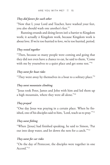#### *They did favors for each other*

"Now that I, your Lord and Teacher, have washed your feet, you also should wash one another's feet."7

Running errands and doing favors isn't a barrier to Kingdom work; it actually *is* Kingdom work, because Kingdom work is about love. If we're too hurried to love, we're too hurried, period.

#### *They rested together*

"Then, because so many people were coming and going that they did not even have a chance to eat, he said to them, 'Come with me by yourselves to a quiet place and get some rest."<sup>8</sup>

#### *They went for boat rides*

"They went away by themselves in a boat to a solitary place."9

#### *They went mountain climbing*

"Jesus took Peter, James and John with him and led them up a high mountain, where they were all alone."10

#### *They prayed*

"One day Jesus was praying in a certain place. When he finished, one of his disciples said to him, 'Lord, teach us to pray.'"11

#### *They went fishing*

"When [Jesus] had finished speaking, he said to Simon, 'Put out into deep water, and let down the nets for a catch.'"12

#### *They went for car rides*

"On the day of Pentecost, the disciples were together in one Accord."13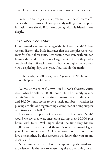What we see in Jesus is a presence that doesn't place efficiency above intimacy. He was perfectly willing to accomplish his tasks more slowly if it meant being with his friends more deeply.

#### THE "10,000-HOUR RULE"

How devoted was Jesus to being with his closest friends? As best we can discern, the Bible indicates that the disciples were with Jesus for about three years. Let's assume they were with him ten hours a day, and for the sake of argument, let's say they had a couple of days off each month. That would give them about 340 discipleship days each year. Now let's do the math:

10 hours/day  $\times$  340 days/year  $\times$  3 years = 10,200 hours of discipleship with Jesus

Journalist Malcolm Gladwell, in his book *Outliers*, writes about what he calls the 10,000-hour rule. The underlying idea of this "rule" is that it takes time to master a demanding craft, and 10,000 hours seems to be a magic number—whether it's playing a violin or programming a computer or doing surgery or hitting a curveball.<sup>14</sup>

If we were to apply this idea to Jesus' disciples, what "craft" would we say they were mastering during their 10,000-plus hours with Jesus? Well, right about the time they hit the 10,000-hour mark, he told them, "A new command I give you: Love one another. As I have loved you, so you must love one another. By this everyone will know that you are my disciples."15

So it might be said that time spent together—shared experience—is the key to mastering the art of living in an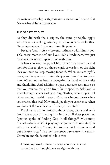intimate relationship with Jesus and with each other, and that *love* is what defines our success.

#### THE GREATEST GIFT

As they did with the disciples, the same principles apply whether we are seeking intimacy with God or with each other: Share experiences. Carve out time. Be present.

Because God is *always* present, intimacy with him is possible every moment of our lives. He's already here. We just have to show up and spend time with him.

When you need help, tell him. Then pay attention and look for him to give you the strength or wisdom or the right idea you need to keep moving forward. When you are joyful, recognize his goodness behind the joy and take time to praise him. When you see beauty, recognize the hand of the Artist and thank him. And ask him to open your eyes even more, so that you can see the world from *his* perspective. Ask God to share his experiences with you. Say, "Father, what do you feel when you look at this person? What was in your heart when you created this tree? How much joy do you experience when you look at the vast beauty of what you created?"

People who are intentional about being connected with God have a way of finding him in the unlikeliest places. St. Ignatius spoke of finding God in all things.16 Missionary Frank Laubach called it playing the "game with minutes," in which the goal is to "bring God to mind at least one second out of every sixty."17 Brother Lawrence, a seventeenth-century Carmelite monk, described it like this:

During my work, I would always continue to speak to the Lord as though He were right with me,